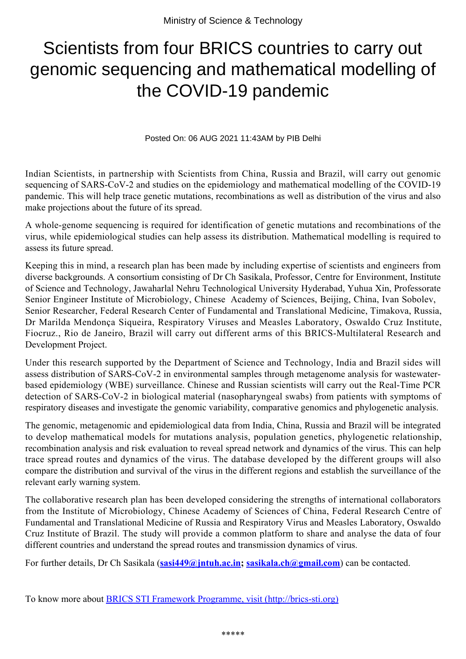## Scientists from four BRICS countries to carry out genomic sequencing and mathematical modelling of the COVID-19 pandemic

Posted On: 06 AUG 2021 11:43AM by PIB Delhi

Indian Scientists, in partnership with Scientists from China, Russia and Brazil, will carry out genomic sequencing of SARS-CoV-2 and studies on the epidemiology and mathematical modelling of the COVID-19 pandemic. This will help trace genetic mutations, recombinations as well as distribution of the virus and also make projections about the future of its spread.

A whole-genome sequencing is required for identification of genetic mutations and recombinations of the virus, while epidemiological studies can help assess its distribution. Mathematical modelling is required to assess its future spread.

Keeping this in mind, a research plan has been made by including expertise of scientists and engineers from diverse backgrounds. A consortium consisting of Dr Ch Sasikala, Professor, Centre for Environment, Institute of Science and Technology, Jawaharlal Nehru Technological University Hyderabad, Yuhua Xin, Professorate Senior Engineer Institute of Microbiology, Chinese Academy of Sciences, Beijing, China, Ivan Sobolev, Senior Researcher, Federal Research Center of Fundamental and Translational Medicine, Timakova, Russia, Dr Marilda Mendonça Siqueira, Respiratory Viruses and Measles Laboratory, Oswaldo Cruz Institute, Fiocruz., Rio de Janeiro, Brazil will carry out different arms of this BRICS-Multilateral Research and Development Project.

Under this research supported by the Department of Science and Technology, India and Brazil sides will assess distribution of SARS-CoV-2 in environmental samples through metagenome analysis for wastewaterbased epidemiology (WBE) surveillance. Chinese and Russian scientists will carry out the Real-Time PCR detection of SARS-CoV-2 in biological material (nasopharyngeal swabs) from patients with symptoms of respiratory diseases and investigate the genomic variability, comparative genomics and phylogenetic analysis.

The genomic, metagenomic and epidemiological data from India, China, Russia and Brazil will be integrated to develop mathematical models for mutations analysis, population genetics, phylogenetic relationship, recombination analysis and risk evaluation to reveal spread network and dynamics of the virus. This can help trace spread routes and dynamics of the virus. The database developed by the different groups will also compare the distribution and survival of the virus in the different regions and establish the surveillance of the relevant early warning system.

The collaborative research plan has been developed considering the strengths of international collaborators from the Institute of Microbiology, Chinese Academy of Sciences of China, Federal Research Centre of Fundamental and Translational Medicine of Russia and Respiratory Virus and Measles Laboratory, Oswaldo Cruz Institute of Brazil. The study will provide a common platform to share and analyse the data of four different countries and understand the spread routes and transmission dynamics of virus.

For further details, Dr Ch Sasikala (**sasi449@jntuh.ac.in; sasikala.ch@gmail.com**) can be contacted.

To know more about [BRICS STI Framework Programme, visit \(http://brics-sti.org\)](file:///C:\Users\Admin\Downloads\BRICS%20STI%20Framework%20Programme%20visit%20(http:\brics-sti.org))